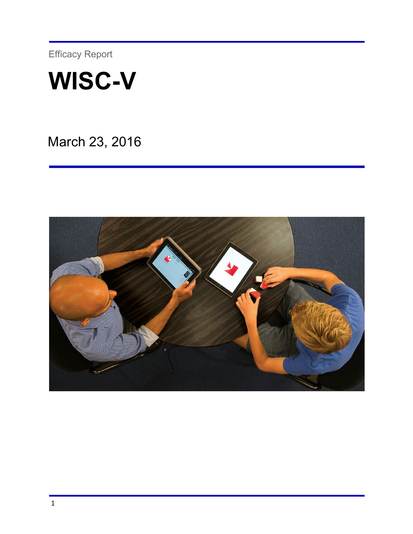Efficacy Report



March 23, 2016

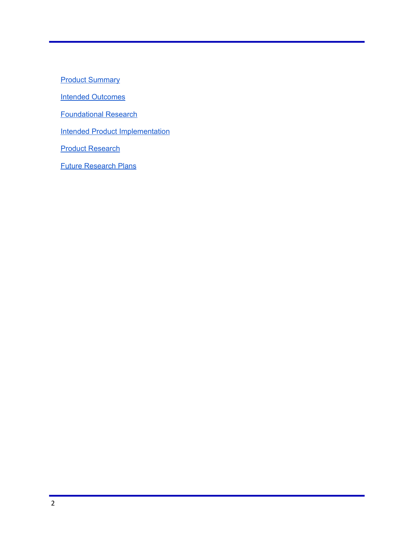**Product [Summary](#page-2-0)** 

Intended [Outcomes](#page-4-0)

[Foundational](#page-5-0) Research

Intended Product [Implementation](#page-6-0)

Product [Research](#page-7-0)

Future [Research](#page-32-0) Plans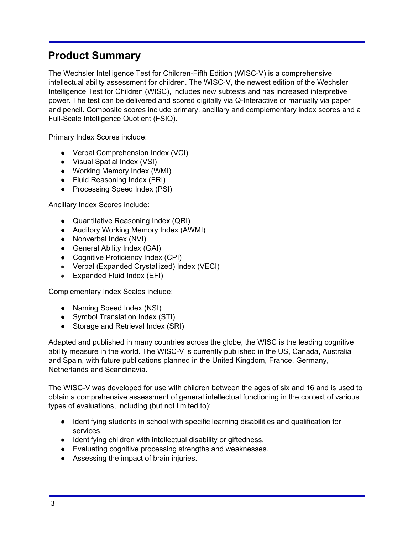# <span id="page-2-0"></span>**Product Summary**

The Wechsler Intelligence Test for Children-Fifth Edition (WISC-V) is a comprehensive intellectual ability assessment for children. The WISC-V, the newest edition of the Wechsler Intelligence Test for Children (WISC), includes new subtests and has increased interpretive power. The test can be delivered and scored digitally via Q-Interactive or manually via paper and pencil. Composite scores include primary, ancillary and complementary index scores and a Full-Scale Intelligence Quotient (FSIQ).

Primary Index Scores include:

- Verbal Comprehension Index (VCI)
- Visual Spatial Index (VSI)
- Working Memory Index (WMI)
- Fluid Reasoning Index (FRI)
- Processing Speed Index (PSI)

Ancillary Index Scores include:

- Quantitative Reasoning Index (QRI)
- Auditory Working Memory Index (AWMI)
- Nonverbal Index (NVI)
- General Ability Index (GAI)
- Cognitive Proficiency Index (CPI)
- Verbal (Expanded Crystallized) Index (VECI)
- Expanded Fluid Index (EFI)

Complementary Index Scales include:

- Naming Speed Index (NSI)
- Symbol Translation Index (STI)
- Storage and Retrieval Index (SRI)

Adapted and published in many countries across the globe, the WISC is the leading cognitive ability measure in the world. The WISC-V is currently published in the US, Canada, Australia and Spain, with future publications planned in the United Kingdom, France, Germany, Netherlands and Scandinavia.

The WISC-V was developed for use with children between the ages of six and 16 and is used to obtain a comprehensive assessment of general intellectual functioning in the context of various types of evaluations, including (but not limited to):

- Identifying students in school with specific learning disabilities and qualification for services.
- Identifying children with intellectual disability or giftedness.
- Evaluating cognitive processing strengths and weaknesses.
- Assessing the impact of brain injuries.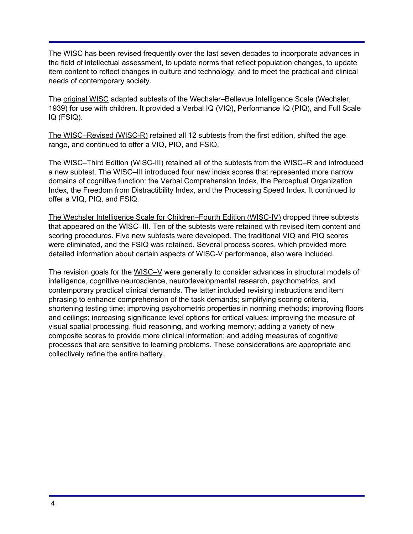The WISC has been revised frequently over the last seven decades to incorporate advances in the field of intellectual assessment, to update norms that reflect population changes, to update item content to reflect changes in culture and technology, and to meet the practical and clinical needs of contemporary society.

The original WISC adapted subtests of the Wechsler–Bellevue Intelligence Scale (Wechsler, 1939) for use with children. It provided a Verbal IQ (VIQ), Performance IQ (PIQ), and Full Scale IQ (FSIQ).

The WISC–Revised (WISC-R) retained all 12 subtests from the first edition, shifted the age range, and continued to offer a VIQ, PIQ, and FSIQ.

The WISC-Third Edition (WISC-III) retained all of the subtests from the WISC-R and introduced a new subtest. The WISC–III introduced four new index scores that represented more narrow domains of cognitive function: the Verbal Comprehension Index, the Perceptual Organization Index, the Freedom from Distractibility Index, and the Processing Speed Index. It continued to offer a VIQ, PIQ, and FSIQ.

The Wechsler Intelligence Scale for Children–Fourth Edition (WISC-IV) dropped three subtests that appeared on the WISC–III. Ten of the subtests were retained with revised item content and scoring procedures. Five new subtests were developed. The traditional VIQ and PIQ scores were eliminated, and the FSIQ was retained. Several process scores, which provided more detailed information about certain aspects of WISC-V performance, also were included.

The revision goals for the WISC–V were generally to consider advances in structural models of intelligence, cognitive neuroscience, neurodevelopmental research, psychometrics, and contemporary practical clinical demands. The latter included revising instructions and item phrasing to enhance comprehension of the task demands; simplifying scoring criteria, shortening testing time; improving psychometric properties in norming methods; improving floors and ceilings; increasing significance level options for critical values; improving the measure of visual spatial processing, fluid reasoning, and working memory; adding a variety of new composite scores to provide more clinical information; and adding measures of cognitive processes that are sensitive to learning problems. These considerations are appropriate and collectively refine the entire battery.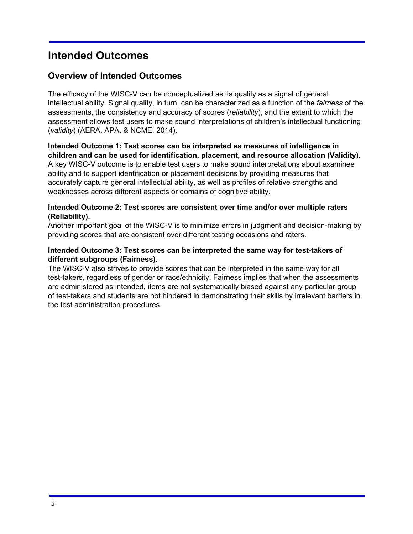# <span id="page-4-0"></span>**Intended Outcomes**

### **Overview of Intended Outcomes**

The efficacy of the WISC-V can be conceptualized as its quality as a signal of general intellectual ability. Signal quality, in turn, can be characterized as a function of the *fairness* of the assessments, the consistency and accuracy of scores (*reliability*), and the extent to which the assessment allows test users to make sound interpretations of children's intellectual functioning (*validity*) (AERA, APA, & NCME, 2014).

#### **Intended Outcome 1: Test scores can be interpreted as measures of intelligence in children and can be used for identification, placement, and resource allocation (Validity).** A key WISC-V outcome is to enable test users to make sound interpretations about examinee ability and to support identification or placement decisions by providing measures that accurately capture general intellectual ability, as well as profiles of relative strengths and weaknesses across different aspects or domains of cognitive ability.

#### **Intended Outcome 2: Test scores are consistent over time and/or over multiple raters (Reliability).**

Another important goal of the WISC-V is to minimize errors in judgment and decision-making by providing scores that are consistent over different testing occasions and raters.

#### **Intended Outcome 3: Test scores can be interpreted the same way for testtakers of different subgroups (Fairness).**

The WISC-V also strives to provide scores that can be interpreted in the same way for all test-takers, regardless of gender or race/ethnicity. Fairness implies that when the assessments are administered as intended, items are not systematically biased against any particular group of test-takers and students are not hindered in demonstrating their skills by irrelevant barriers in the test administration procedures.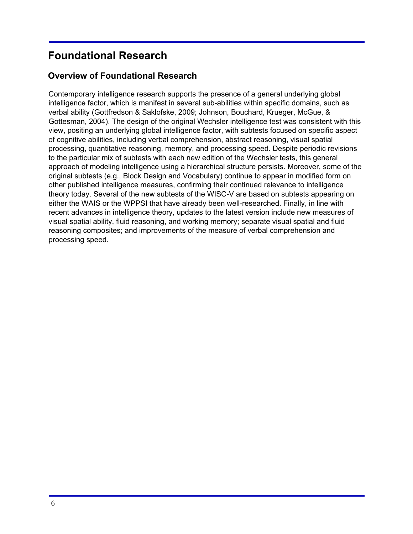# <span id="page-5-0"></span>**Foundational Research**

### **Overview of Foundational Research**

Contemporary intelligence research supports the presence of a general underlying global intelligence factor, which is manifest in several sub-abilities within specific domains, such as verbal ability (Gottfredson & Saklofske, 2009; Johnson, Bouchard, Krueger, McGue, & Gottesman, 2004). The design of the original Wechsler intelligence test was consistent with this view, positing an underlying global intelligence factor, with subtests focused on specific aspect of cognitive abilities, including verbal comprehension, abstract reasoning, visual spatial processing, quantitative reasoning, memory, and processing speed. Despite periodic revisions to the particular mix of subtests with each new edition of the Wechsler tests, this general approach of modeling intelligence using a hierarchical structure persists. Moreover, some of the original subtests (e.g., Block Design and Vocabulary) continue to appear in modified form on other published intelligence measures, confirming their continued relevance to intelligence theory today. Several of the new subtests of the WISC-V are based on subtests appearing on either the WAIS or the WPPSI that have already been well-researched. Finally, in line with recent advances in intelligence theory, updates to the latest version include new measures of visual spatial ability, fluid reasoning, and working memory; separate visual spatial and fluid reasoning composites; and improvements of the measure of verbal comprehension and processing speed.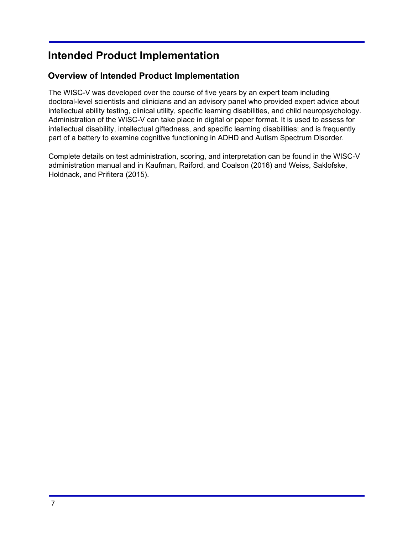# <span id="page-6-0"></span>**Intended Product Implementation**

### **Overview of Intended Product Implementation**

The WISC-V was developed over the course of five years by an expert team including doctoral-level scientists and clinicians and an advisory panel who provided expert advice about intellectual ability testing, clinical utility, specific learning disabilities, and child neuropsychology. Administration of the WISC-V can take place in digital or paper format. It is used to assess for intellectual disability, intellectual giftedness, and specific learning disabilities; and is frequently part of a battery to examine cognitive functioning in ADHD and Autism Spectrum Disorder.

Complete details on test administration, scoring, and interpretation can be found in the WISC-V administration manual and in Kaufman, Raiford, and Coalson (2016) and Weiss, Saklofske, Holdnack, and Prifitera (2015).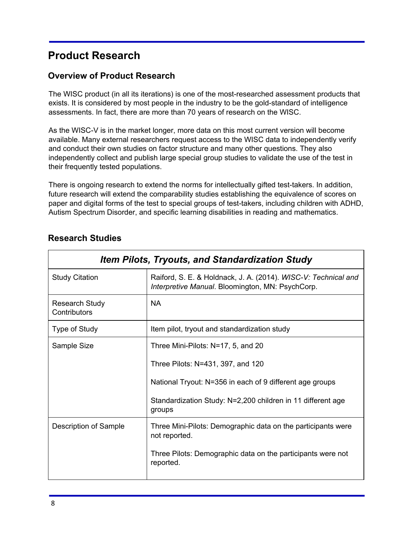# <span id="page-7-0"></span>**Product Research**

### **Overview of Product Research**

The WISC product (in all its iterations) is one of the most-researched assessment products that exists. It is considered by most people in the industry to be the gold-standard of intelligence assessments. In fact, there are more than 70 years of research on the WISC.

As the WISC-V is in the market longer, more data on this most current version will become available. Many external researchers request access to the WISC data to independently verify and conduct their own studies on factor structure and many other questions. They also independently collect and publish large special group studies to validate the use of the test in their frequently tested populations.

There is ongoing research to extend the norms for intellectually gifted test-takers. In addition, future research will extend the comparability studies establishing the equivalence of scores on paper and digital forms of the test to special groups of test-takers, including children with ADHD, Autism Spectrum Disorder, and specific learning disabilities in reading and mathematics.

| <b>Item Pilots, Tryouts, and Standardization Study</b> |                                                                                                                    |
|--------------------------------------------------------|--------------------------------------------------------------------------------------------------------------------|
| <b>Study Citation</b>                                  | Raiford, S. E. & Holdnack, J. A. (2014). WISC-V: Technical and<br>Interpretive Manual. Bloomington, MN: PsychCorp. |
| <b>Research Study</b><br>Contributors                  | <b>NA</b>                                                                                                          |
| Type of Study                                          | Item pilot, tryout and standardization study                                                                       |
| Sample Size                                            | Three Mini-Pilots: N=17, 5, and 20                                                                                 |
|                                                        | Three Pilots: N=431, 397, and 120                                                                                  |
|                                                        | National Tryout: N=356 in each of 9 different age groups                                                           |
|                                                        | Standardization Study: N=2,200 children in 11 different age<br>groups                                              |
| Description of Sample                                  | Three Mini-Pilots: Demographic data on the participants were<br>not reported.                                      |
|                                                        | Three Pilots: Demographic data on the participants were not<br>reported.                                           |

### **Research Studies**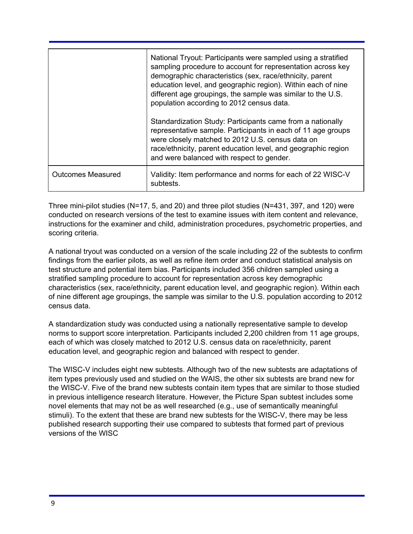|                          | National Tryout: Participants were sampled using a stratified<br>sampling procedure to account for representation across key<br>demographic characteristics (sex, race/ethnicity, parent<br>education level, and geographic region). Within each of nine<br>different age groupings, the sample was similar to the U.S.<br>population according to 2012 census data. |
|--------------------------|----------------------------------------------------------------------------------------------------------------------------------------------------------------------------------------------------------------------------------------------------------------------------------------------------------------------------------------------------------------------|
|                          | Standardization Study: Participants came from a nationally<br>representative sample. Participants in each of 11 age groups<br>were closely matched to 2012 U.S. census data on<br>race/ethnicity, parent education level, and geographic region<br>and were balanced with respect to gender.                                                                         |
| <b>Outcomes Measured</b> | Validity: Item performance and norms for each of 22 WISC-V<br>subtests.                                                                                                                                                                                                                                                                                              |

Three mini-pilot studies (N=17, 5, and 20) and three pilot studies (N=431, 397, and 120) were conducted on research versions of the test to examine issues with item content and relevance, instructions for the examiner and child, administration procedures, psychometric properties, and scoring criteria.

A national tryout was conducted on a version of the scale including 22 of the subtests to confirm findings from the earlier pilots, as well as refine item order and conduct statistical analysis on test structure and potential item bias. Participants included 356 children sampled using a stratified sampling procedure to account for representation across key demographic characteristics (sex, race/ethnicity, parent education level, and geographic region). Within each of nine different age groupings, the sample was similar to the U.S. population according to 2012 census data.

A standardization study was conducted using a nationally representative sample to develop norms to support score interpretation. Participants included 2,200 children from 11 age groups, each of which was closely matched to 2012 U.S. census data on race/ethnicity, parent education level, and geographic region and balanced with respect to gender.

The WISC-V includes eight new subtests. Although two of the new subtests are adaptations of item types previously used and studied on the WAIS, the other six subtests are brand new for the WISC-V. Five of the brand new subtests contain item types that are similar to those studied in previous intelligence research literature. However, the Picture Span subtest includes some novel elements that may not be as well researched (e.g., use of semantically meaningful stimuli). To the extent that these are brand new subtests for the WISC-V, there may be less published research supporting their use compared to subtests that formed part of previous versions of the WISC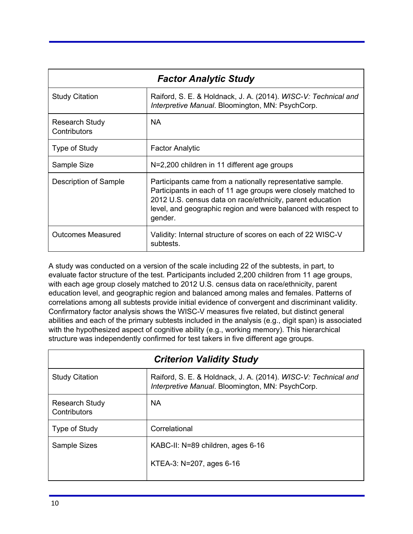| <b>Factor Analytic Study</b>          |                                                                                                                                                                                                                                                                       |
|---------------------------------------|-----------------------------------------------------------------------------------------------------------------------------------------------------------------------------------------------------------------------------------------------------------------------|
| <b>Study Citation</b>                 | Raiford, S. E. & Holdnack, J. A. (2014). WISC-V: Technical and<br>Interpretive Manual. Bloomington, MN: PsychCorp.                                                                                                                                                    |
| <b>Research Study</b><br>Contributors | NA.                                                                                                                                                                                                                                                                   |
| Type of Study                         | <b>Factor Analytic</b>                                                                                                                                                                                                                                                |
| Sample Size                           | N=2,200 children in 11 different age groups                                                                                                                                                                                                                           |
| Description of Sample                 | Participants came from a nationally representative sample.<br>Participants in each of 11 age groups were closely matched to<br>2012 U.S. census data on race/ethnicity, parent education<br>level, and geographic region and were balanced with respect to<br>gender. |
| Outcomes Measured                     | Validity: Internal structure of scores on each of 22 WISC-V<br>subtests.                                                                                                                                                                                              |

A study was conducted on a version of the scale including 22 of the subtests, in part, to evaluate factor structure of the test. Participants included 2,200 children from 11 age groups, with each age group closely matched to 2012 U.S. census data on race/ethnicity, parent education level, and geographic region and balanced among males and females. Patterns of correlations among all subtests provide initial evidence of convergent and discriminant validity. Confirmatory factor analysis shows the WISC-V measures five related, but distinct general abilities and each of the primary subtests included in the analysis (e.g., digit span) is associated with the hypothesized aspect of cognitive ability (e.g., working memory). This hierarchical structure was independently confirmed for test takers in five different age groups.

| <b>Criterion Validity Study</b>       |                                                                                                                    |
|---------------------------------------|--------------------------------------------------------------------------------------------------------------------|
| <b>Study Citation</b>                 | Raiford, S. E. & Holdnack, J. A. (2014). WISC-V: Technical and<br>Interpretive Manual. Bloomington, MN: PsychCorp. |
| <b>Research Study</b><br>Contributors | <b>NA</b>                                                                                                          |
| Type of Study                         | Correlational                                                                                                      |
| Sample Sizes                          | KABC-II: N=89 children, ages 6-16                                                                                  |
|                                       | KTEA-3: N=207, ages 6-16                                                                                           |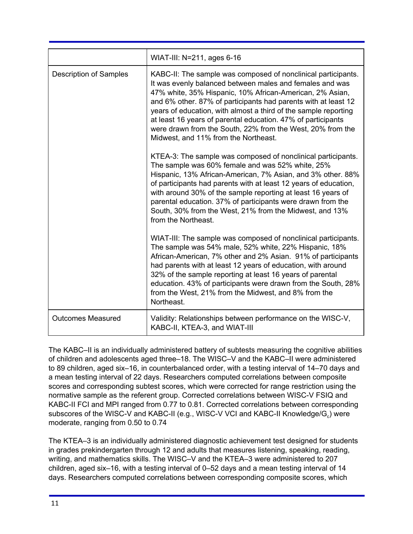|                               | WIAT-III: N=211, ages 6-16                                                                                                                                                                                                                                                                                                                                                                                                                                                                       |
|-------------------------------|--------------------------------------------------------------------------------------------------------------------------------------------------------------------------------------------------------------------------------------------------------------------------------------------------------------------------------------------------------------------------------------------------------------------------------------------------------------------------------------------------|
| <b>Description of Samples</b> | KABC-II: The sample was composed of nonclinical participants.<br>It was evenly balanced between males and females and was<br>47% white, 35% Hispanic, 10% African-American, 2% Asian,<br>and 6% other. 87% of participants had parents with at least 12<br>years of education, with almost a third of the sample reporting<br>at least 16 years of parental education. 47% of participants<br>were drawn from the South, 22% from the West, 20% from the<br>Midwest, and 11% from the Northeast. |
|                               | KTEA-3: The sample was composed of nonclinical participants.<br>The sample was 60% female and was 52% white, 25%<br>Hispanic, 13% African-American, 7% Asian, and 3% other. 88%<br>of participants had parents with at least 12 years of education,<br>with around 30% of the sample reporting at least 16 years of<br>parental education. 37% of participants were drawn from the<br>South, 30% from the West, 21% from the Midwest, and 13%<br>from the Northeast.                             |
|                               | WIAT-III: The sample was composed of nonclinical participants.<br>The sample was 54% male, 52% white, 22% Hispanic, 18%<br>African-American, 7% other and 2% Asian. 91% of participants<br>had parents with at least 12 years of education, with around<br>32% of the sample reporting at least 16 years of parental<br>education. 43% of participants were drawn from the South, 28%<br>from the West, 21% from the Midwest, and 8% from the<br>Northeast.                                      |
| <b>Outcomes Measured</b>      | Validity: Relationships between performance on the WISC-V,<br>KABC-II, KTEA-3, and WIAT-III                                                                                                                                                                                                                                                                                                                                                                                                      |

The KABC–II is an individually administered battery of subtests measuring the cognitive abilities of children and adolescents aged three–18. The WISC–V and the KABC–II were administered to 89 children, aged six–16, in counterbalanced order, with a testing interval of 14–70 days and a mean testing interval of 22 days. Researchers computed correlations between composite scores and corresponding subtest scores, which were corrected for range restriction using the normative sample as the referent group. Corrected correlations between WISC-V FSIQ and KABC-II FCI and MPI ranged from 0.77 to 0.81. Corrected correlations between corresponding subscores of the WISC-V and KABC-II (e.g., WISC-V VCI and KABC-II Knowledge/G $_{\rm c}$ ) were moderate, ranging from 0.50 to 0.74

The KTEA–3 is an individually administered diagnostic achievement test designed for students in grades prekindergarten through 12 and adults that measures listening, speaking, reading, writing, and mathematics skills. The WISC–V and the KTEA–3 were administered to 207 children, aged six–16, with a testing interval of 0–52 days and a mean testing interval of 14 days. Researchers computed correlations between corresponding composite scores, which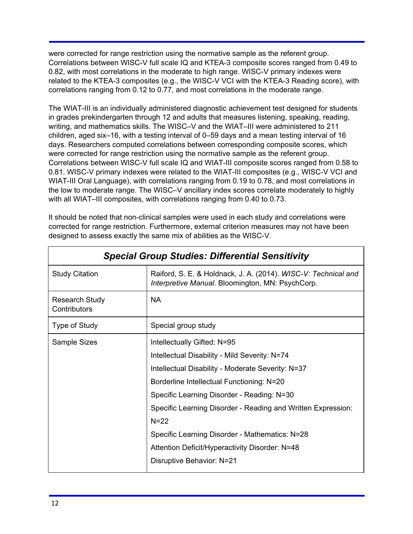were corrected for range restriction using the normative sample as the referent group. Correlations between WISC-V full scale IQ and KTEA-3 composite scores ranged from 0.49 to 0.82, with most correlations in the moderate to high range. WISC-V primary indexes were related to the KTEA-3 composites (e.g., the WISC-V VCI with the KTEA-3 Reading score), with correlations ranging from 0.12 to 0.77, and most correlations in the moderate range.

The WIAT-III is an individually administered diagnostic achievement test designed for students in grades prekindergarten through 12 and adults that measures listening, speaking, reading, writing, and mathematics skills. The WISC–V and the WIAT–III were administered to 211 children, aged six–16, with a testing interval of 0–59 days and a mean testing interval of 16 days. Researchers computed correlations between corresponding composite scores, which were corrected for range restriction using the normative sample as the referent group. Correlations between WISC-V full scale IQ and WIAT-III composite scores ranged from 0.58 to 0.81. WISC-V primary indexes were related to the WIAT-III composites (e.g., WISC-V VCI and WIAT-III Oral Language), with correlations ranging from 0.19 to 0.78, and most correlations in the low to moderate range. The WISC–V ancillary index scores correlate moderately to highly with all WIAT–III composites, with correlations ranging from 0.40 to 0.73.

It should be noted that non-clinical samples were used in each study and correlations were corrected for range restriction. Furthermore, external criterion measures may not have been designed to assess exactly the same mix of abilities as the WISC-V.

| <b>Special Group Studies: Differential Sensitivity</b> |                                                                                                                    |
|--------------------------------------------------------|--------------------------------------------------------------------------------------------------------------------|
| <b>Study Citation</b>                                  | Raiford, S. E. & Holdnack, J. A. (2014). WISC-V: Technical and<br>Interpretive Manual. Bloomington, MN: PsychCorp. |
| <b>Research Study</b><br>Contributors                  | <b>NA</b>                                                                                                          |
| Type of Study                                          | Special group study                                                                                                |
| Sample Sizes                                           | Intellectually Gifted: N=95                                                                                        |
|                                                        | Intellectual Disability - Mild Severity: N=74                                                                      |
|                                                        | Intellectual Disability - Moderate Severity: N=37                                                                  |
|                                                        | Borderline Intellectual Functioning: N=20                                                                          |
|                                                        | Specific Learning Disorder - Reading: N=30                                                                         |
|                                                        | Specific Learning Disorder - Reading and Written Expression:                                                       |
|                                                        | $N=22$                                                                                                             |
|                                                        | Specific Learning Disorder - Mathematics: N=28                                                                     |
|                                                        | Attention Deficit/Hyperactivity Disorder: N=48                                                                     |
|                                                        | Disruptive Behavior: N=21                                                                                          |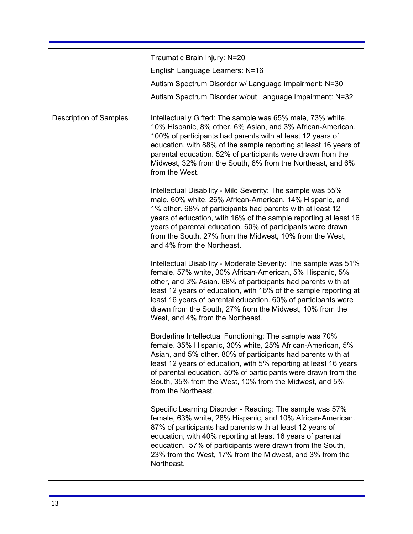|                               | Traumatic Brain Injury: N=20<br>English Language Learners: N=16<br>Autism Spectrum Disorder w/ Language Impairment: N=30<br>Autism Spectrum Disorder w/out Language Impairment: N=32                                                                                                                                                                                                                                              |
|-------------------------------|-----------------------------------------------------------------------------------------------------------------------------------------------------------------------------------------------------------------------------------------------------------------------------------------------------------------------------------------------------------------------------------------------------------------------------------|
| <b>Description of Samples</b> | Intellectually Gifted: The sample was 65% male, 73% white,<br>10% Hispanic, 8% other, 6% Asian, and 3% African-American.<br>100% of participants had parents with at least 12 years of<br>education, with 88% of the sample reporting at least 16 years of<br>parental education. 52% of participants were drawn from the<br>Midwest, 32% from the South, 8% from the Northeast, and 6%<br>from the West.                         |
|                               | Intellectual Disability - Mild Severity: The sample was 55%<br>male, 60% white, 26% African-American, 14% Hispanic, and<br>1% other. 68% of participants had parents with at least 12<br>years of education, with 16% of the sample reporting at least 16<br>years of parental education. 60% of participants were drawn<br>from the South, 27% from the Midwest, 10% from the West,<br>and 4% from the Northeast.                |
|                               | Intellectual Disability - Moderate Severity: The sample was 51%<br>female, 57% white, 30% African-American, 5% Hispanic, 5%<br>other, and 3% Asian. 68% of participants had parents with at<br>least 12 years of education, with 16% of the sample reporting at<br>least 16 years of parental education. 60% of participants were<br>drawn from the South, 27% from the Midwest, 10% from the<br>West, and 4% from the Northeast. |
|                               | Borderline Intellectual Functioning: The sample was 70%<br>female, 35% Hispanic, 30% white, 25% African-American, 5%<br>Asian, and 5% other. 80% of participants had parents with at<br>least 12 years of education, with 5% reporting at least 16 years<br>of parental education. 50% of participants were drawn from the<br>South, 35% from the West, 10% from the Midwest, and 5%<br>from the Northeast.                       |
|                               | Specific Learning Disorder - Reading: The sample was 57%<br>female, 63% white, 28% Hispanic, and 10% African-American.<br>87% of participants had parents with at least 12 years of<br>education, with 40% reporting at least 16 years of parental<br>education. 57% of participants were drawn from the South,<br>23% from the West, 17% from the Midwest, and 3% from the<br>Northeast.                                         |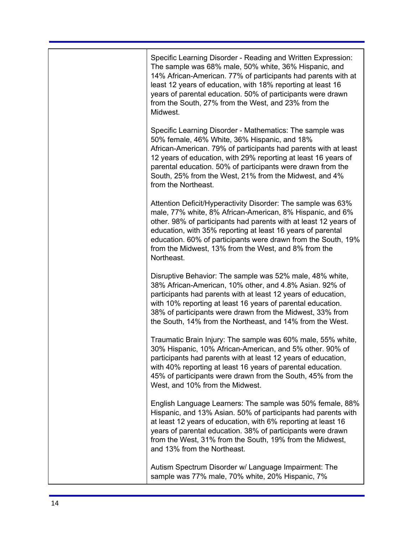| Specific Learning Disorder - Reading and Written Expression:<br>The sample was 68% male, 50% white, 36% Hispanic, and<br>14% African-American. 77% of participants had parents with at<br>least 12 years of education, with 18% reporting at least 16<br>years of parental education. 50% of participants were drawn<br>from the South, 27% from the West, and 23% from the<br>Midwest.             |
|-----------------------------------------------------------------------------------------------------------------------------------------------------------------------------------------------------------------------------------------------------------------------------------------------------------------------------------------------------------------------------------------------------|
| Specific Learning Disorder - Mathematics: The sample was<br>50% female, 46% White, 36% Hispanic, and 18%<br>African-American. 79% of participants had parents with at least<br>12 years of education, with 29% reporting at least 16 years of<br>parental education. 50% of participants were drawn from the<br>South, 25% from the West, 21% from the Midwest, and 4%<br>from the Northeast.       |
| Attention Deficit/Hyperactivity Disorder: The sample was 63%<br>male, 77% white, 8% African-American, 8% Hispanic, and 6%<br>other. 98% of participants had parents with at least 12 years of<br>education, with 35% reporting at least 16 years of parental<br>education. 60% of participants were drawn from the South, 19%<br>from the Midwest, 13% from the West, and 8% from the<br>Northeast. |
| Disruptive Behavior: The sample was 52% male, 48% white,<br>38% African-American, 10% other, and 4.8% Asian. 92% of<br>participants had parents with at least 12 years of education,<br>with 10% reporting at least 16 years of parental education.<br>38% of participants were drawn from the Midwest, 33% from<br>the South, 14% from the Northeast, and 14% from the West.                       |
| Traumatic Brain Injury: The sample was 60% male, 55% white,<br>30% Hispanic, 10% African-American, and 5% other. 90% of<br>participants had parents with at least 12 years of education,<br>with 40% reporting at least 16 years of parental education.<br>45% of participants were drawn from the South, 45% from the<br>West, and 10% from the Midwest.                                           |
| English Language Learners: The sample was 50% female, 88%<br>Hispanic, and 13% Asian. 50% of participants had parents with<br>at least 12 years of education, with 6% reporting at least 16<br>years of parental education. 38% of participants were drawn<br>from the West, 31% from the South, 19% from the Midwest,<br>and 13% from the Northeast.                                               |
| Autism Spectrum Disorder w/ Language Impairment: The<br>sample was 77% male, 70% white, 20% Hispanic, 7%                                                                                                                                                                                                                                                                                            |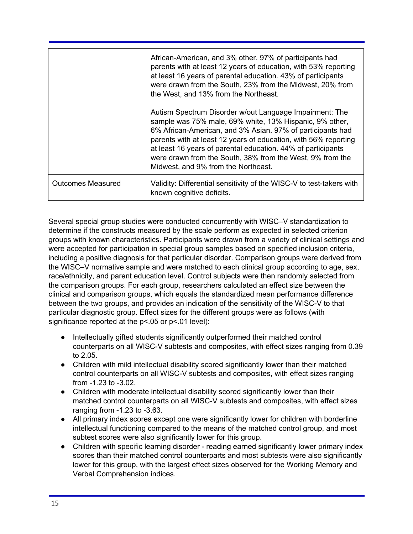|                          | African-American, and 3% other. 97% of participants had<br>parents with at least 12 years of education, with 53% reporting<br>at least 16 years of parental education. 43% of participants<br>were drawn from the South, 23% from the Midwest, 20% from<br>the West, and 13% from the Northeast.                                                                                                                        |
|--------------------------|-------------------------------------------------------------------------------------------------------------------------------------------------------------------------------------------------------------------------------------------------------------------------------------------------------------------------------------------------------------------------------------------------------------------------|
|                          | Autism Spectrum Disorder w/out Language Impairment: The<br>sample was 75% male, 69% white, 13% Hispanic, 9% other,<br>6% African-American, and 3% Asian. 97% of participants had<br>parents with at least 12 years of education, with 56% reporting<br>at least 16 years of parental education. 44% of participants<br>were drawn from the South, 38% from the West, 9% from the<br>Midwest, and 9% from the Northeast. |
| <b>Outcomes Measured</b> | Validity: Differential sensitivity of the WISC-V to test-takers with<br>known cognitive deficits.                                                                                                                                                                                                                                                                                                                       |

Several special group studies were conducted concurrently with WISC–V standardization to determine if the constructs measured by the scale perform as expected in selected criterion groups with known characteristics. Participants were drawn from a variety of clinical settings and were accepted for participation in special group samples based on specified inclusion criteria, including a positive diagnosis for that particular disorder. Comparison groups were derived from the WISC–V normative sample and were matched to each clinical group according to age, sex, race/ethnicity, and parent education level. Control subjects were then randomly selected from the comparison groups. For each group, researchers calculated an effect size between the clinical and comparison groups, which equals the standardized mean performance difference between the two groups, and provides an indication of the sensitivity of the WISC-V to that particular diagnostic group. Effect sizes for the different groups were as follows (with significance reported at the  $p$ <.05 or  $p$ <.01 level):

- Intellectually gifted students significantly outperformed their matched control counterparts on all WISC-V subtests and composites, with effect sizes ranging from 0.39 to 2.05.
- Children with mild intellectual disability scored significantly lower than their matched control counterparts on all WISC-V subtests and composites, with effect sizes ranging from  $-1.23$  to  $-3.02$ .
- Children with moderate intellectual disability scored significantly lower than their matched control counterparts on all WISC-V subtests and composites, with effect sizes ranging from  $-1.23$  to  $-3.63$ .
- All primary index scores except one were significantly lower for children with borderline intellectual functioning compared to the means of the matched control group, and most subtest scores were also significantly lower for this group.
- Children with specific learning disorder reading earned significantly lower primary index scores than their matched control counterparts and most subtests were also significantly lower for this group, with the largest effect sizes observed for the Working Memory and Verbal Comprehension indices.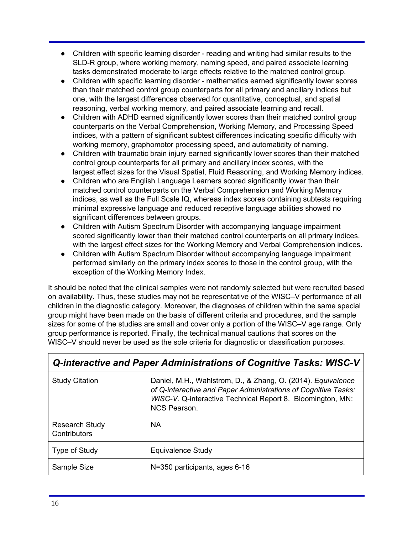- Children with specific learning disorder reading and writing had similar results to the SLD-R group, where working memory, naming speed, and paired associate learning tasks demonstrated moderate to large effects relative to the matched control group.
- Children with specific learning disorder mathematics earned significantly lower scores than their matched control group counterparts for all primary and ancillary indices but one, with the largest differences observed for quantitative, conceptual, and spatial reasoning, verbal working memory, and paired associate learning and recall.
- Children with ADHD earned significantly lower scores than their matched control group counterparts on the Verbal Comprehension, Working Memory, and Processing Speed indices, with a pattern of significant subtest differences indicating specific difficulty with working memory, graphomotor processing speed, and automaticity of naming.
- Children with traumatic brain injury earned significantly lower scores than their matched control group counterparts for all primary and ancillary index scores, with the largest.effect sizes for the Visual Spatial, Fluid Reasoning, and Working Memory indices.
- Children who are English Language Learners scored significantly lower than their matched control counterparts on the Verbal Comprehension and Working Memory indices, as well as the Full Scale IQ, whereas index scores containing subtests requiring minimal expressive language and reduced receptive language abilities showed no significant differences between groups.
- Children with Autism Spectrum Disorder with accompanying language impairment scored significantly lower than their matched control counterparts on all primary indices, with the largest effect sizes for the Working Memory and Verbal Comprehension indices.
- Children with Autism Spectrum Disorder without accompanying language impairment performed similarly on the primary index scores to those in the control group, with the exception of the Working Memory Index.

It should be noted that the clinical samples were not randomly selected but were recruited based on availability. Thus, these studies may not be representative of the WISC–V performance of all children in the diagnostic category. Moreover, the diagnoses of children within the same special group might have been made on the basis of different criteria and procedures, and the sample sizes for some of the studies are small and cover only a portion of the WISC–V age range. Only group performance is reported. Finally, the technical manual cautions that scores on the WISC–V should never be used as the sole criteria for diagnostic or classification purposes.

| Q-interactive and Paper Administrations of Cognitive Tasks: WISC-V |                                                                                                                                                                                                                     |  |
|--------------------------------------------------------------------|---------------------------------------------------------------------------------------------------------------------------------------------------------------------------------------------------------------------|--|
| <b>Study Citation</b>                                              | Daniel, M.H., Wahlstrom, D., & Zhang, O. (2014). Equivalence<br>of Q-interactive and Paper Administrations of Cognitive Tasks:<br>WISC-V. Q-interactive Technical Report 8. Bloomington, MN:<br><b>NCS Pearson.</b> |  |
| <b>Research Study</b><br>Contributors                              | <b>NA</b>                                                                                                                                                                                                           |  |
| Type of Study                                                      | Equivalence Study                                                                                                                                                                                                   |  |
| Sample Size                                                        | N=350 participants, ages 6-16                                                                                                                                                                                       |  |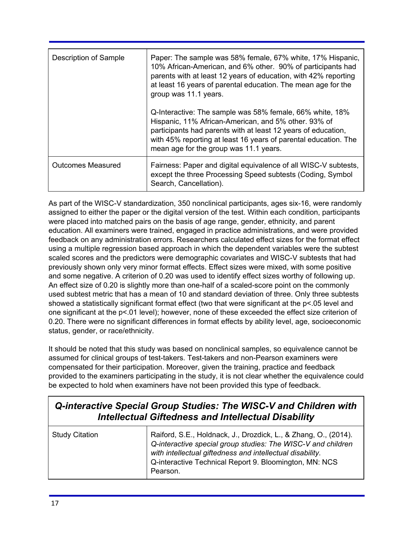| Description of Sample    | Paper: The sample was 58% female, 67% white, 17% Hispanic,<br>10% African-American, and 6% other. 90% of participants had<br>parents with at least 12 years of education, with 42% reporting<br>at least 16 years of parental education. The mean age for the<br>group was 11.1 years.         |
|--------------------------|------------------------------------------------------------------------------------------------------------------------------------------------------------------------------------------------------------------------------------------------------------------------------------------------|
|                          | Q-Interactive: The sample was 58% female, 66% white, 18%<br>Hispanic, 11% African-American, and 5% other. 93% of<br>participants had parents with at least 12 years of education,<br>with 45% reporting at least 16 years of parental education. The<br>mean age for the group was 11.1 years. |
| <b>Outcomes Measured</b> | Fairness: Paper and digital equivalence of all WISC-V subtests,<br>except the three Processing Speed subtests (Coding, Symbol<br>Search, Cancellation).                                                                                                                                        |

As part of the WISC-V standardization, 350 nonclinical participants, ages six-16, were randomly assigned to either the paper or the digital version of the test. Within each condition, participants were placed into matched pairs on the basis of age range, gender, ethnicity, and parent education. All examiners were trained, engaged in practice administrations, and were provided feedback on any administration errors. Researchers calculated effect sizes for the format effect using a multiple regression based approach in which the dependent variables were the subtest scaled scores and the predictors were demographic covariates and WISC-V subtests that had previously shown only very minor format effects. Effect sizes were mixed, with some positive and some negative. A criterion of 0.20 was used to identify effect sizes worthy of following up. An effect size of 0.20 is slightly more than one-half of a scaled-score point on the commonly used subtest metric that has a mean of 10 and standard deviation of three. Only three subtests showed a statistically significant format effect (two that were significant at the p<.05 level and one significant at the p<.01 level); however, none of these exceeded the effect size criterion of 0.20. There were no significant differences in format effects by ability level, age, socioeconomic status, gender, or race/ethnicity.

It should be noted that this study was based on nonclinical samples, so equivalence cannot be assumed for clinical groups of test-takers. Test-takers and non-Pearson examiners were compensated for their participation. Moreover, given the training, practice and feedback provided to the examiners participating in the study, it is not clear whether the equivalence could be expected to hold when examiners have not been provided this type of feedback.

| Q-interactive Special Group Studies: The WISC-V and Children with<br><b>Intellectual Giftedness and Intellectual Disability</b> |                                                                                                                                                                                                                                                                    |
|---------------------------------------------------------------------------------------------------------------------------------|--------------------------------------------------------------------------------------------------------------------------------------------------------------------------------------------------------------------------------------------------------------------|
| <b>Study Citation</b>                                                                                                           | Raiford, S.E., Holdnack, J., Drozdick, L., & Zhang, O., (2014).<br>Q-interactive special group studies: The WISC-V and children<br>with intellectual giftedness and intellectual disability.<br>Q-interactive Technical Report 9. Bloomington, MN: NCS<br>Pearson. |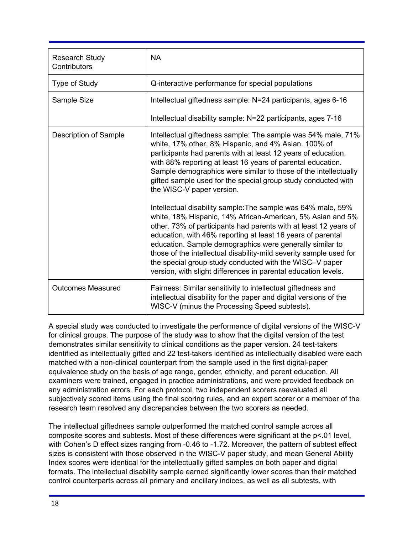| <b>Research Study</b><br>Contributors | <b>NA</b>                                                                                                                                                                                                                                                                                                                                                                                                                                                                                                                                                                                                                                                                                                                                                                                                                                                                                                                                             |
|---------------------------------------|-------------------------------------------------------------------------------------------------------------------------------------------------------------------------------------------------------------------------------------------------------------------------------------------------------------------------------------------------------------------------------------------------------------------------------------------------------------------------------------------------------------------------------------------------------------------------------------------------------------------------------------------------------------------------------------------------------------------------------------------------------------------------------------------------------------------------------------------------------------------------------------------------------------------------------------------------------|
| <b>Type of Study</b>                  | Q-interactive performance for special populations                                                                                                                                                                                                                                                                                                                                                                                                                                                                                                                                                                                                                                                                                                                                                                                                                                                                                                     |
| Sample Size                           | Intellectual giftedness sample: N=24 participants, ages 6-16                                                                                                                                                                                                                                                                                                                                                                                                                                                                                                                                                                                                                                                                                                                                                                                                                                                                                          |
|                                       | Intellectual disability sample: N=22 participants, ages 7-16                                                                                                                                                                                                                                                                                                                                                                                                                                                                                                                                                                                                                                                                                                                                                                                                                                                                                          |
| Description of Sample                 | Intellectual giftedness sample: The sample was 54% male, 71%<br>white, 17% other, 8% Hispanic, and 4% Asian. 100% of<br>participants had parents with at least 12 years of education,<br>with 88% reporting at least 16 years of parental education.<br>Sample demographics were similar to those of the intellectually<br>gifted sample used for the special group study conducted with<br>the WISC-V paper version.<br>Intellectual disability sample: The sample was 64% male, 59%<br>white, 18% Hispanic, 14% African-American, 5% Asian and 5%<br>other. 73% of participants had parents with at least 12 years of<br>education, with 46% reporting at least 16 years of parental<br>education. Sample demographics were generally similar to<br>those of the intellectual disability-mild severity sample used for<br>the special group study conducted with the WISC-V paper<br>version, with slight differences in parental education levels. |
| <b>Outcomes Measured</b>              | Fairness: Similar sensitivity to intellectual giftedness and<br>intellectual disability for the paper and digital versions of the<br>WISC-V (minus the Processing Speed subtests).                                                                                                                                                                                                                                                                                                                                                                                                                                                                                                                                                                                                                                                                                                                                                                    |

A special study was conducted to investigate the performance of digital versions of the WISC-V for clinical groups. The purpose of the study was to show that the digital version of the test demonstrates similar sensitivity to clinical conditions as the paper version. 24 test-takers identified as intellectually gifted and 22 test-takers identified as intellectually disabled were each matched with a non-clinical counterpart from the sample used in the first digital-paper equivalence study on the basis of age range, gender, ethnicity, and parent education. All examiners were trained, engaged in practice administrations, and were provided feedback on any administration errors. For each protocol, two independent scorers reevaluated all subjectively scored items using the final scoring rules, and an expert scorer or a member of the research team resolved any discrepancies between the two scorers as needed.

The intellectual giftedness sample outperformed the matched control sample across all composite scores and subtests. Most of these differences were significant at the p<.01 level, with Cohen's D effect sizes ranging from -0.46 to -1.72. Moreover, the pattern of subtest effect sizes is consistent with those observed in the WISC-V paper study, and mean General Ability Index scores were identical for the intellectually gifted samples on both paper and digital formats. The intellectual disability sample earned significantly lower scores than their matched control counterparts across all primary and ancillary indices, as well as all subtests, with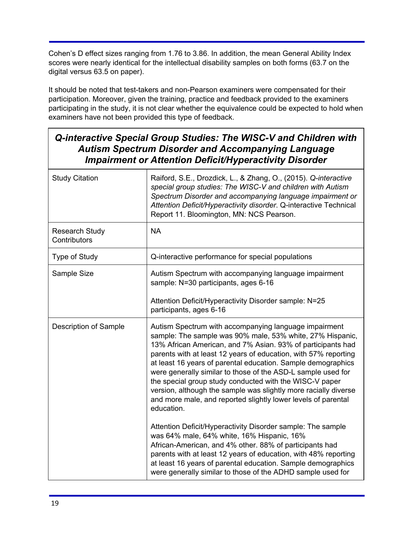Cohen's D effect sizes ranging from 1.76 to 3.86. In addition, the mean General Ability Index scores were nearly identical for the intellectual disability samples on both forms (63.7 on the digital versus 63.5 on paper).

It should be noted that test-takers and non-Pearson examiners were compensated for their participation. Moreover, given the training, practice and feedback provided to the examiners participating in the study, it is not clear whether the equivalence could be expected to hold when examiners have not been provided this type of feedback.

## *Qinteractive Special Group Studies: The WISCV and Children with Autism Spectrum Disorder and Accompanying Language Impairment or Attention Deficit/Hyperactivity Disorder*

| <b>Study Citation</b>                 | Raiford, S.E., Drozdick, L., & Zhang, O., (2015). Q-interactive<br>special group studies: The WISC-V and children with Autism<br>Spectrum Disorder and accompanying language impairment or<br>Attention Deficit/Hyperactivity disorder. Q-interactive Technical<br>Report 11. Bloomington, MN: NCS Pearson.                                                                                                                                                                                                                                                                                                                                                                                                                                                                                                                                                                                                                                                                 |
|---------------------------------------|-----------------------------------------------------------------------------------------------------------------------------------------------------------------------------------------------------------------------------------------------------------------------------------------------------------------------------------------------------------------------------------------------------------------------------------------------------------------------------------------------------------------------------------------------------------------------------------------------------------------------------------------------------------------------------------------------------------------------------------------------------------------------------------------------------------------------------------------------------------------------------------------------------------------------------------------------------------------------------|
| <b>Research Study</b><br>Contributors | <b>NA</b>                                                                                                                                                                                                                                                                                                                                                                                                                                                                                                                                                                                                                                                                                                                                                                                                                                                                                                                                                                   |
| Type of Study                         | Q-interactive performance for special populations                                                                                                                                                                                                                                                                                                                                                                                                                                                                                                                                                                                                                                                                                                                                                                                                                                                                                                                           |
| Sample Size                           | Autism Spectrum with accompanying language impairment<br>sample: N=30 participants, ages 6-16                                                                                                                                                                                                                                                                                                                                                                                                                                                                                                                                                                                                                                                                                                                                                                                                                                                                               |
|                                       | Attention Deficit/Hyperactivity Disorder sample: N=25<br>participants, ages 6-16                                                                                                                                                                                                                                                                                                                                                                                                                                                                                                                                                                                                                                                                                                                                                                                                                                                                                            |
| Description of Sample                 | Autism Spectrum with accompanying language impairment<br>sample: The sample was 90% male, 53% white, 27% Hispanic,<br>13% African American, and 7% Asian. 93% of participants had<br>parents with at least 12 years of education, with 57% reporting<br>at least 16 years of parental education. Sample demographics<br>were generally similar to those of the ASD-L sample used for<br>the special group study conducted with the WISC-V paper<br>version, although the sample was slightly more racially diverse<br>and more male, and reported slightly lower levels of parental<br>education.<br>Attention Deficit/Hyperactivity Disorder sample: The sample<br>was 64% male, 64% white, 16% Hispanic, 16%<br>African-American, and 4% other. 88% of participants had<br>parents with at least 12 years of education, with 48% reporting<br>at least 16 years of parental education. Sample demographics<br>were generally similar to those of the ADHD sample used for |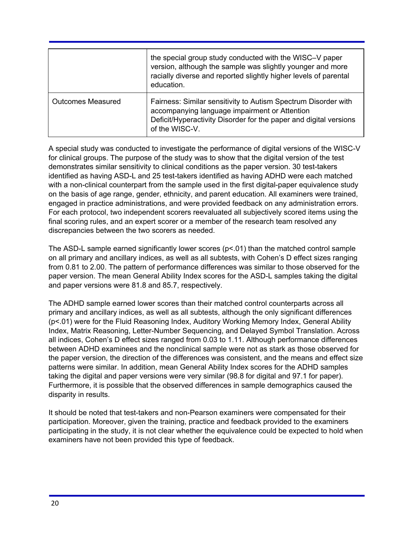|                          | the special group study conducted with the WISC-V paper<br>version, although the sample was slightly younger and more<br>racially diverse and reported slightly higher levels of parental<br>education. |
|--------------------------|---------------------------------------------------------------------------------------------------------------------------------------------------------------------------------------------------------|
| <b>Outcomes Measured</b> | Fairness: Similar sensitivity to Autism Spectrum Disorder with<br>accompanying language impairment or Attention<br>Deficit/Hyperactivity Disorder for the paper and digital versions<br>of the WISC-V.  |

A special study was conducted to investigate the performance of digital versions of the WISC-V for clinical groups. The purpose of the study was to show that the digital version of the test demonstrates similar sensitivity to clinical conditions as the paper version. 30 test-takers identified as having ASD-L and 25 test-takers identified as having ADHD were each matched with a non-clinical counterpart from the sample used in the first digital-paper equivalence study on the basis of age range, gender, ethnicity, and parent education. All examiners were trained, engaged in practice administrations, and were provided feedback on any administration errors. For each protocol, two independent scorers reevaluated all subjectively scored items using the final scoring rules, and an expert scorer or a member of the research team resolved any discrepancies between the two scorers as needed.

The ASD-L sample earned significantly lower scores ( $p<01$ ) than the matched control sample on all primary and ancillary indices, as well as all subtests, with Cohen's D effect sizes ranging from 0.81 to 2.00. The pattern of performance differences was similar to those observed for the paper version. The mean General Ability Index scores for the ASDL samples taking the digital and paper versions were 81.8 and 85.7, respectively.

The ADHD sample earned lower scores than their matched control counterparts across all primary and ancillary indices, as well as all subtests, although the only significant differences (p<.01) were for the Fluid Reasoning Index, Auditory Working Memory Index, General Ability Index, Matrix Reasoning, Letter-Number Sequencing, and Delayed Symbol Translation. Across all indices, Cohen's D effect sizes ranged from 0.03 to 1.11. Although performance differences between ADHD examinees and the nonclinical sample were not as stark as those observed for the paper version, the direction of the differences was consistent, and the means and effect size patterns were similar. In addition, mean General Ability Index scores for the ADHD samples taking the digital and paper versions were very similar (98.8 for digital and 97.1 for paper). Furthermore, it is possible that the observed differences in sample demographics caused the disparity in results.

It should be noted that test-takers and non-Pearson examiners were compensated for their participation. Moreover, given the training, practice and feedback provided to the examiners participating in the study, it is not clear whether the equivalence could be expected to hold when examiners have not been provided this type of feedback.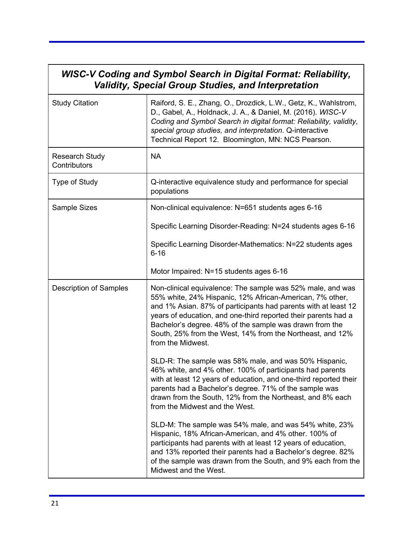| <b>WISC-V Coding and Symbol Search in Digital Format: Reliability,</b><br><b>Validity, Special Group Studies, and Interpretation</b> |                                                                                                                                                                                                                                                                                                                                                                                                         |  |
|--------------------------------------------------------------------------------------------------------------------------------------|---------------------------------------------------------------------------------------------------------------------------------------------------------------------------------------------------------------------------------------------------------------------------------------------------------------------------------------------------------------------------------------------------------|--|
| <b>Study Citation</b>                                                                                                                | Raiford, S. E., Zhang, O., Drozdick, L.W., Getz, K., Wahlstrom,<br>D., Gabel, A., Holdnack, J. A., & Daniel, M. (2016). WISC-V<br>Coding and Symbol Search in digital format: Reliability, validity,<br>special group studies, and interpretation. Q-interactive<br>Technical Report 12. Bloomington, MN: NCS Pearson.                                                                                  |  |
| <b>Research Study</b><br>Contributors                                                                                                | <b>NA</b>                                                                                                                                                                                                                                                                                                                                                                                               |  |
| Type of Study                                                                                                                        | Q-interactive equivalence study and performance for special<br>populations                                                                                                                                                                                                                                                                                                                              |  |
| Sample Sizes                                                                                                                         | Non-clinical equivalence: N=651 students ages 6-16                                                                                                                                                                                                                                                                                                                                                      |  |
|                                                                                                                                      | Specific Learning Disorder-Reading: N=24 students ages 6-16                                                                                                                                                                                                                                                                                                                                             |  |
|                                                                                                                                      | Specific Learning Disorder-Mathematics: N=22 students ages<br>$6 - 16$                                                                                                                                                                                                                                                                                                                                  |  |
|                                                                                                                                      | Motor Impaired: N=15 students ages 6-16                                                                                                                                                                                                                                                                                                                                                                 |  |
| <b>Description of Samples</b>                                                                                                        | Non-clinical equivalence: The sample was 52% male, and was<br>55% white, 24% Hispanic, 12% African-American, 7% other,<br>and 1% Asian. 87% of participants had parents with at least 12<br>years of education, and one-third reported their parents had a<br>Bachelor's degree. 48% of the sample was drawn from the<br>South, 25% from the West, 14% from the Northeast, and 12%<br>from the Midwest. |  |
|                                                                                                                                      | SLD-R: The sample was 58% male, and was 50% Hispanic,<br>46% white, and 4% other. 100% of participants had parents<br>with at least 12 years of education, and one-third reported their<br>parents had a Bachelor's degree. 71% of the sample was<br>drawn from the South, 12% from the Northeast, and 8% each<br>from the Midwest and the West.                                                        |  |
|                                                                                                                                      | SLD-M: The sample was 54% male, and was 54% white, 23%<br>Hispanic, 18% African-American, and 4% other. 100% of<br>participants had parents with at least 12 years of education,<br>and 13% reported their parents had a Bachelor's degree. 82%<br>of the sample was drawn from the South, and 9% each from the<br>Midwest and the West.                                                                |  |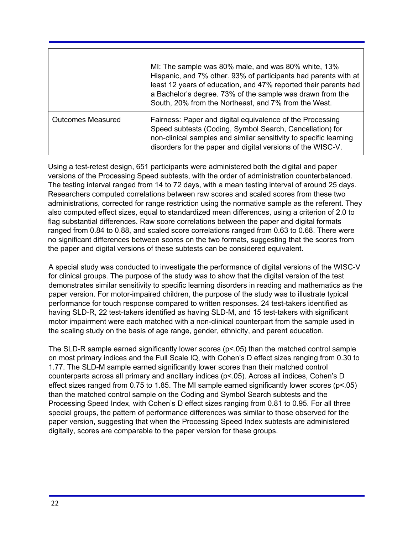|                          | MI: The sample was 80% male, and was 80% white, 13%<br>Hispanic, and 7% other. 93% of participants had parents with at<br>least 12 years of education, and 47% reported their parents had<br>a Bachelor's degree. 73% of the sample was drawn from the<br>South, 20% from the Northeast, and 7% from the West. |
|--------------------------|----------------------------------------------------------------------------------------------------------------------------------------------------------------------------------------------------------------------------------------------------------------------------------------------------------------|
| <b>Outcomes Measured</b> | Fairness: Paper and digital equivalence of the Processing<br>Speed subtests (Coding, Symbol Search, Cancellation) for<br>non-clinical samples and similar sensitivity to specific learning<br>disorders for the paper and digital versions of the WISC-V.                                                      |

Using a test-retest design, 651 participants were administered both the digital and paper versions of the Processing Speed subtests, with the order of administration counterbalanced. The testing interval ranged from 14 to 72 days, with a mean testing interval of around 25 days. Researchers computed correlations between raw scores and scaled scores from these two administrations, corrected for range restriction using the normative sample as the referent. They also computed effect sizes, equal to standardized mean differences, using a criterion of 2.0 to flag substantial differences. Raw score correlations between the paper and digital formats ranged from 0.84 to 0.88, and scaled score correlations ranged from 0.63 to 0.68. There were no significant differences between scores on the two formats, suggesting that the scores from the paper and digital versions of these subtests can be considered equivalent.

A special study was conducted to investigate the performance of digital versions of the WISC-V for clinical groups. The purpose of the study was to show that the digital version of the test demonstrates similar sensitivity to specific learning disorders in reading and mathematics as the paper version. For motor-impaired children, the purpose of the study was to illustrate typical performance for touch response compared to written responses. 24 test-takers identified as having SLD-R, 22 test-takers identified as having SLD-M, and 15 test-takers with significant motor impairment were each matched with a non-clinical counterpart from the sample used in the scaling study on the basis of age range, gender, ethnicity, and parent education.

The SLD-R sample earned significantly lower scores ( $p<0.05$ ) than the matched control sample on most primary indices and the Full Scale IQ, with Cohen's D effect sizes ranging from 0.30 to 1.77. The SLD-M sample earned significantly lower scores than their matched control counterparts across all primary and ancillary indices (p<.05). Across all indices, Cohen's D effect sizes ranged from 0.75 to 1.85. The MI sample earned significantly lower scores (p<.05) than the matched control sample on the Coding and Symbol Search subtests and the Processing Speed Index, with Cohen's D effect sizes ranging from 0.81 to 0.95. For all three special groups, the pattern of performance differences was similar to those observed for the paper version, suggesting that when the Processing Speed Index subtests are administered digitally, scores are comparable to the paper version for these groups.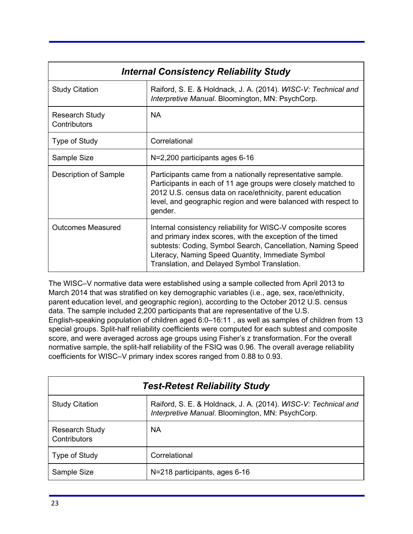| <b>Internal Consistency Reliability Study</b> |                                                                                                                                                                                                                                                                                               |
|-----------------------------------------------|-----------------------------------------------------------------------------------------------------------------------------------------------------------------------------------------------------------------------------------------------------------------------------------------------|
| <b>Study Citation</b>                         | Raiford, S. E. & Holdnack, J. A. (2014). WISC-V: Technical and<br>Interpretive Manual. Bloomington, MN: PsychCorp.                                                                                                                                                                            |
| <b>Research Study</b><br>Contributors         | <b>NA</b>                                                                                                                                                                                                                                                                                     |
| Type of Study                                 | Correlational                                                                                                                                                                                                                                                                                 |
| Sample Size                                   | N=2,200 participants ages 6-16                                                                                                                                                                                                                                                                |
| Description of Sample                         | Participants came from a nationally representative sample.<br>Participants in each of 11 age groups were closely matched to<br>2012 U.S. census data on race/ethnicity, parent education<br>level, and geographic region and were balanced with respect to<br>gender.                         |
| <b>Outcomes Measured</b>                      | Internal consistency reliability for WISC-V composite scores<br>and primary index scores, with the exception of the timed<br>subtests: Coding, Symbol Search, Cancellation, Naming Speed<br>Literacy, Naming Speed Quantity, Immediate Symbol<br>Translation, and Delayed Symbol Translation. |

The WISC–V normative data were established using a sample collected from April 2013 to March 2014 that was stratified on key demographic variables (i.e., age, sex, race/ethnicity, parent education level, and geographic region), according to the October 2012 U.S. census data. The sample included 2,200 participants that are representative of the U.S. English-speaking population of children aged 6:0–16:11, as well as samples of children from 13 special groups. Split-half reliability coefficients were computed for each subtest and composite score, and were averaged across age groups using Fisher's z transformation. For the overall normative sample, the split-half reliability of the FSIQ was 0.96. The overall average reliability coefficients for WISC–V primary index scores ranged from 0.88 to 0.93.

| <b>Test-Retest Reliability Study</b>  |                                                                                                                    |
|---------------------------------------|--------------------------------------------------------------------------------------------------------------------|
| <b>Study Citation</b>                 | Raiford, S. E. & Holdnack, J. A. (2014). WISC-V: Technical and<br>Interpretive Manual. Bloomington, MN: PsychCorp. |
| <b>Research Study</b><br>Contributors | <b>NA</b>                                                                                                          |
| Type of Study                         | Correlational                                                                                                      |
| Sample Size                           | N=218 participants, ages 6-16                                                                                      |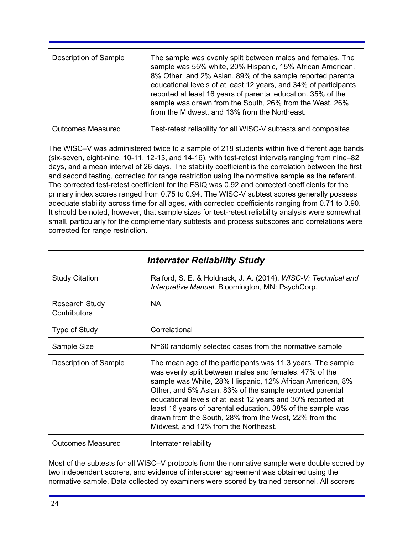| <b>Description of Sample</b> | The sample was evenly split between males and females. The<br>sample was 55% white, 20% Hispanic, 15% African American,<br>8% Other, and 2% Asian. 89% of the sample reported parental<br>educational levels of at least 12 years, and 34% of participants<br>reported at least 16 years of parental education. 35% of the<br>sample was drawn from the South, 26% from the West, 26%<br>from the Midwest, and 13% from the Northeast. |
|------------------------------|----------------------------------------------------------------------------------------------------------------------------------------------------------------------------------------------------------------------------------------------------------------------------------------------------------------------------------------------------------------------------------------------------------------------------------------|
| <b>Outcomes Measured</b>     | Test-retest reliability for all WISC-V subtests and composites                                                                                                                                                                                                                                                                                                                                                                         |

The WISC–V was administered twice to a sample of 218 students within five different age bands (six-seven, eight-nine, 10-11, 12-13, and 14-16), with test-retest intervals ranging from nine–82 days, and a mean interval of 26 days. The stability coefficient is the correlation between the first and second testing, corrected for range restriction using the normative sample as the referent. The corrected test-retest coefficient for the FSIQ was 0.92 and corrected coefficients for the primary index scores ranged from 0.75 to 0.94. The WISC-V subtest scores generally possess adequate stability across time for all ages, with corrected coefficients ranging from 0.71 to 0.90. It should be noted, however, that sample sizes for test-retest reliability analysis were somewhat small, particularly for the complementary subtests and process subscores and correlations were corrected for range restriction.

| <b>Interrater Reliability Study</b>   |                                                                                                                                                                                                                                                                                                                                                                                                                                                                              |
|---------------------------------------|------------------------------------------------------------------------------------------------------------------------------------------------------------------------------------------------------------------------------------------------------------------------------------------------------------------------------------------------------------------------------------------------------------------------------------------------------------------------------|
| <b>Study Citation</b>                 | Raiford, S. E. & Holdnack, J. A. (2014). WISC-V: Technical and<br>Interpretive Manual. Bloomington, MN: PsychCorp.                                                                                                                                                                                                                                                                                                                                                           |
| <b>Research Study</b><br>Contributors | NA.                                                                                                                                                                                                                                                                                                                                                                                                                                                                          |
| Type of Study                         | Correlational                                                                                                                                                                                                                                                                                                                                                                                                                                                                |
| Sample Size                           | N=60 randomly selected cases from the normative sample                                                                                                                                                                                                                                                                                                                                                                                                                       |
| Description of Sample                 | The mean age of the participants was 11.3 years. The sample<br>was evenly split between males and females. 47% of the<br>sample was White, 28% Hispanic, 12% African American, 8%<br>Other, and 5% Asian. 83% of the sample reported parental<br>educational levels of at least 12 years and 30% reported at<br>least 16 years of parental education. 38% of the sample was<br>drawn from the South, 28% from the West, 22% from the<br>Midwest, and 12% from the Northeast. |
| Outcomes Measured                     | Interrater reliability                                                                                                                                                                                                                                                                                                                                                                                                                                                       |

Most of the subtests for all WISC–V protocols from the normative sample were double scored by two independent scorers, and evidence of interscorer agreement was obtained using the normative sample. Data collected by examiners were scored by trained personnel. All scorers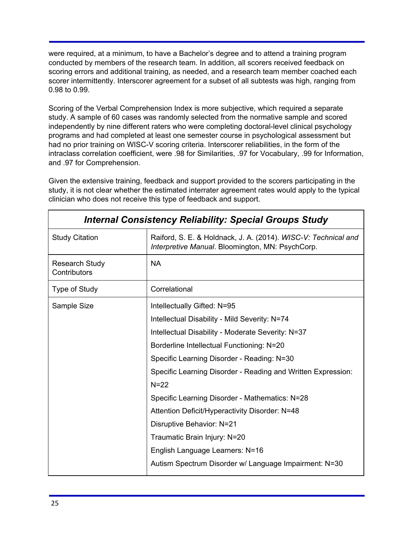were required, at a minimum, to have a Bachelor's degree and to attend a training program conducted by members of the research team. In addition, all scorers received feedback on scoring errors and additional training, as needed, and a research team member coached each scorer intermittently. Interscorer agreement for a subset of all subtests was high, ranging from 0.98 to 0.99.

Scoring of the Verbal Comprehension Index is more subjective, which required a separate study. A sample of 60 cases was randomly selected from the normative sample and scored independently by nine different raters who were completing doctoral-level clinical psychology programs and had completed at least one semester course in psychological assessment but had no prior training on WISC-V scoring criteria. Interscorer reliabilities, in the form of the intraclass correlation coefficient, were .98 for Similarities, .97 for Vocabulary, .99 for Information, and .97 for Comprehension.

Given the extensive training, feedback and support provided to the scorers participating in the study, it is not clear whether the estimated interrater agreement rates would apply to the typical clinician who does not receive this type of feedback and support.

| Internal Consistency Reliability: Special Groups Study |                                                                                                                    |
|--------------------------------------------------------|--------------------------------------------------------------------------------------------------------------------|
| <b>Study Citation</b>                                  | Raiford, S. E. & Holdnack, J. A. (2014). WISC-V: Technical and<br>Interpretive Manual. Bloomington, MN: PsychCorp. |
| <b>Research Study</b><br>Contributors                  | <b>NA</b>                                                                                                          |
| Type of Study                                          | Correlational                                                                                                      |
| Sample Size                                            | Intellectually Gifted: N=95                                                                                        |
|                                                        | Intellectual Disability - Mild Severity: N=74                                                                      |
|                                                        | Intellectual Disability - Moderate Severity: N=37                                                                  |
|                                                        | Borderline Intellectual Functioning: N=20                                                                          |
|                                                        | Specific Learning Disorder - Reading: N=30                                                                         |
|                                                        | Specific Learning Disorder - Reading and Written Expression:                                                       |
|                                                        | $N=22$                                                                                                             |
|                                                        | Specific Learning Disorder - Mathematics: N=28                                                                     |
|                                                        | Attention Deficit/Hyperactivity Disorder: N=48                                                                     |
|                                                        | Disruptive Behavior: N=21                                                                                          |
|                                                        | Traumatic Brain Injury: N=20                                                                                       |
|                                                        | English Language Learners: N=16                                                                                    |
|                                                        | Autism Spectrum Disorder w/ Language Impairment: N=30                                                              |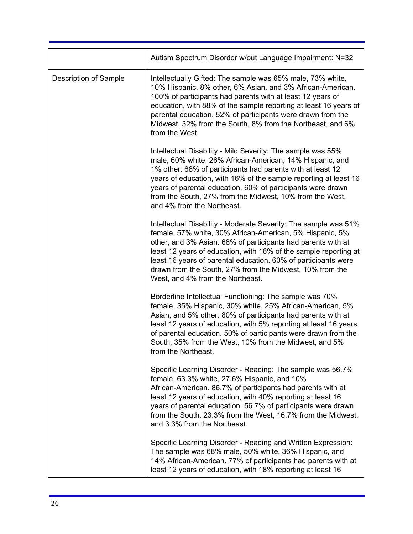|                       | Autism Spectrum Disorder w/out Language Impairment: N=32                                                                                                                                                                                                                                                                                                                                                                          |
|-----------------------|-----------------------------------------------------------------------------------------------------------------------------------------------------------------------------------------------------------------------------------------------------------------------------------------------------------------------------------------------------------------------------------------------------------------------------------|
| Description of Sample | Intellectually Gifted: The sample was 65% male, 73% white,<br>10% Hispanic, 8% other, 6% Asian, and 3% African-American.<br>100% of participants had parents with at least 12 years of<br>education, with 88% of the sample reporting at least 16 years of<br>parental education. 52% of participants were drawn from the<br>Midwest, 32% from the South, 8% from the Northeast, and 6%<br>from the West.                         |
|                       | Intellectual Disability - Mild Severity: The sample was 55%<br>male, 60% white, 26% African-American, 14% Hispanic, and<br>1% other. 68% of participants had parents with at least 12<br>years of education, with 16% of the sample reporting at least 16<br>years of parental education. 60% of participants were drawn<br>from the South, 27% from the Midwest, 10% from the West,<br>and 4% from the Northeast.                |
|                       | Intellectual Disability - Moderate Severity: The sample was 51%<br>female, 57% white, 30% African-American, 5% Hispanic, 5%<br>other, and 3% Asian. 68% of participants had parents with at<br>least 12 years of education, with 16% of the sample reporting at<br>least 16 years of parental education. 60% of participants were<br>drawn from the South, 27% from the Midwest, 10% from the<br>West, and 4% from the Northeast. |
|                       | Borderline Intellectual Functioning: The sample was 70%<br>female, 35% Hispanic, 30% white, 25% African-American, 5%<br>Asian, and 5% other. 80% of participants had parents with at<br>least 12 years of education, with 5% reporting at least 16 years<br>of parental education. 50% of participants were drawn from the<br>South, 35% from the West, 10% from the Midwest, and 5%<br>from the Northeast.                       |
|                       | Specific Learning Disorder - Reading: The sample was 56.7%<br>female, 63.3% white, 27.6% Hispanic, and 10%<br>African-American. 86.7% of participants had parents with at<br>least 12 years of education, with 40% reporting at least 16<br>years of parental education. 56.7% of participants were drawn<br>from the South, 23.3% from the West, 16.7% from the Midwest,<br>and 3.3% from the Northeast.                         |
|                       | Specific Learning Disorder - Reading and Written Expression:<br>The sample was 68% male, 50% white, 36% Hispanic, and<br>14% African-American. 77% of participants had parents with at<br>least 12 years of education, with 18% reporting at least 16                                                                                                                                                                             |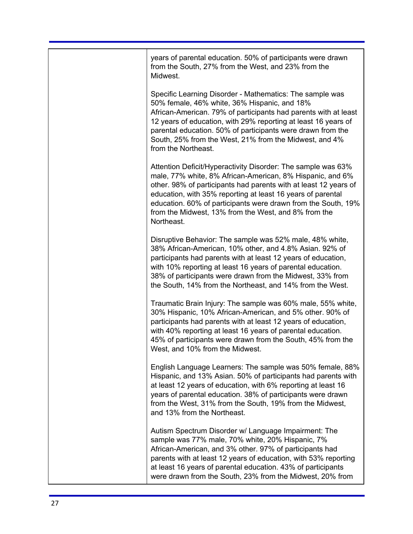| years of parental education. 50% of participants were drawn<br>from the South, 27% from the West, and 23% from the<br>Midwest.                                                                                                                                                                                                                                                                      |
|-----------------------------------------------------------------------------------------------------------------------------------------------------------------------------------------------------------------------------------------------------------------------------------------------------------------------------------------------------------------------------------------------------|
| Specific Learning Disorder - Mathematics: The sample was<br>50% female, 46% white, 36% Hispanic, and 18%<br>African-American. 79% of participants had parents with at least<br>12 years of education, with 29% reporting at least 16 years of<br>parental education. 50% of participants were drawn from the<br>South, 25% from the West, 21% from the Midwest, and 4%<br>from the Northeast.       |
| Attention Deficit/Hyperactivity Disorder: The sample was 63%<br>male, 77% white, 8% African-American, 8% Hispanic, and 6%<br>other. 98% of participants had parents with at least 12 years of<br>education, with 35% reporting at least 16 years of parental<br>education. 60% of participants were drawn from the South, 19%<br>from the Midwest, 13% from the West, and 8% from the<br>Northeast. |
| Disruptive Behavior: The sample was 52% male, 48% white,<br>38% African-American, 10% other, and 4.8% Asian. 92% of<br>participants had parents with at least 12 years of education,<br>with 10% reporting at least 16 years of parental education.<br>38% of participants were drawn from the Midwest, 33% from<br>the South, 14% from the Northeast, and 14% from the West.                       |
| Traumatic Brain Injury: The sample was 60% male, 55% white,<br>30% Hispanic, 10% African-American, and 5% other. 90% of<br>participants had parents with at least 12 years of education,<br>with 40% reporting at least 16 years of parental education.<br>45% of participants were drawn from the South, 45% from the<br>West, and 10% from the Midwest.                                           |
| English Language Learners: The sample was 50% female, 88%<br>Hispanic, and 13% Asian. 50% of participants had parents with<br>at least 12 years of education, with 6% reporting at least 16<br>years of parental education. 38% of participants were drawn<br>from the West, 31% from the South, 19% from the Midwest,<br>and 13% from the Northeast.                                               |
| Autism Spectrum Disorder w/ Language Impairment: The<br>sample was 77% male, 70% white, 20% Hispanic, 7%<br>African-American, and 3% other. 97% of participants had<br>parents with at least 12 years of education, with 53% reporting<br>at least 16 years of parental education. 43% of participants<br>were drawn from the South, 23% from the Midwest, 20% from                                 |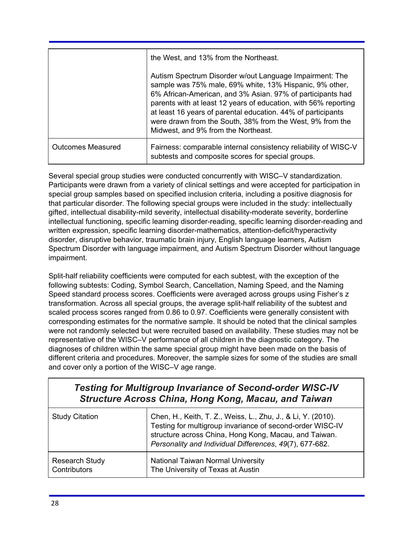|                   | the West, and 13% from the Northeast.<br>Autism Spectrum Disorder w/out Language Impairment: The<br>sample was 75% male, 69% white, 13% Hispanic, 9% other,<br>6% African-American, and 3% Asian. 97% of participants had<br>parents with at least 12 years of education, with 56% reporting<br>at least 16 years of parental education. 44% of participants<br>were drawn from the South, 38% from the West, 9% from the<br>Midwest, and 9% from the Northeast. |
|-------------------|------------------------------------------------------------------------------------------------------------------------------------------------------------------------------------------------------------------------------------------------------------------------------------------------------------------------------------------------------------------------------------------------------------------------------------------------------------------|
| Outcomes Measured | Fairness: comparable internal consistency reliability of WISC-V<br>subtests and composite scores for special groups.                                                                                                                                                                                                                                                                                                                                             |

Several special group studies were conducted concurrently with WISC–V standardization. Participants were drawn from a variety of clinical settings and were accepted for participation in special group samples based on specified inclusion criteria, including a positive diagnosis for that particular disorder. The following special groups were included in the study: intellectually gifted, intellectual disability-mild severity, intellectual disability-moderate severity, borderline intellectual functioning, specific learning disorder-reading, specific learning disorder-reading and written expression, specific learning disorder-mathematics, attention-deficit/hyperactivity disorder, disruptive behavior, traumatic brain injury, English language learners, Autism Spectrum Disorder with language impairment, and Autism Spectrum Disorder without language impairment.

Split-half reliability coefficients were computed for each subtest, with the exception of the following subtests: Coding, Symbol Search, Cancellation, Naming Speed, and the Naming Speed standard process scores. Coefficients were averaged across groups using Fisher's z transformation. Across all special groups, the average splithalf reliability of the subtest and scaled process scores ranged from 0.86 to 0.97. Coefficients were generally consistent with corresponding estimates for the normative sample. It should be noted that the clinical samples were not randomly selected but were recruited based on availability. These studies may not be representative of the WISC–V performance of all children in the diagnostic category. The diagnoses of children within the same special group might have been made on the basis of different criteria and procedures. Moreover, the sample sizes for some of the studies are small and cover only a portion of the WISC–V age range.

| <b>Testing for Multigroup Invariance of Second-order WISC-IV</b><br><b>Structure Across China, Hong Kong, Macau, and Taiwan</b> |                                                                                                                                                                                                                                               |
|---------------------------------------------------------------------------------------------------------------------------------|-----------------------------------------------------------------------------------------------------------------------------------------------------------------------------------------------------------------------------------------------|
| <b>Study Citation</b>                                                                                                           | Chen, H., Keith, T. Z., Weiss, L., Zhu, J., & Li, Y. (2010).<br>Testing for multigroup invariance of second-order WISC-IV<br>structure across China, Hong Kong, Macau, and Taiwan.<br>Personality and Individual Differences, 49(7), 677-682. |
| <b>Research Study</b><br>Contributors                                                                                           | National Taiwan Normal University<br>The University of Texas at Austin                                                                                                                                                                        |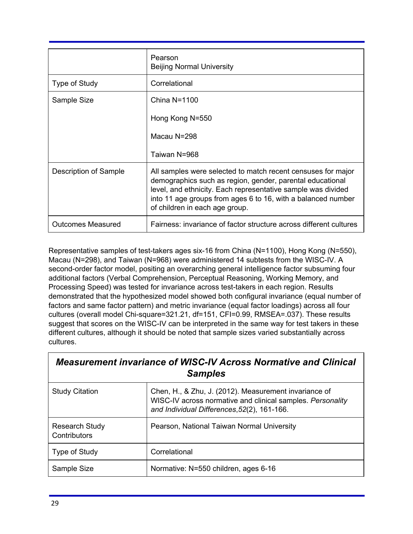|                          | Pearson<br><b>Beijing Normal University</b>                                                                                                                                                                                                                                                 |
|--------------------------|---------------------------------------------------------------------------------------------------------------------------------------------------------------------------------------------------------------------------------------------------------------------------------------------|
| <b>Type of Study</b>     | Correlational                                                                                                                                                                                                                                                                               |
| Sample Size              | China $N = 1100$                                                                                                                                                                                                                                                                            |
|                          | Hong Kong N=550                                                                                                                                                                                                                                                                             |
|                          | Macau N=298                                                                                                                                                                                                                                                                                 |
|                          | Taiwan N=968                                                                                                                                                                                                                                                                                |
| Description of Sample    | All samples were selected to match recent censuses for major<br>demographics such as region, gender, parental educational<br>level, and ethnicity. Each representative sample was divided<br>into 11 age groups from ages 6 to 16, with a balanced number<br>of children in each age group. |
| <b>Outcomes Measured</b> | Fairness: invariance of factor structure across different cultures                                                                                                                                                                                                                          |

Representative samples of test-takers ages six-16 from China (N=1100), Hong Kong (N=550), Macau (N=298), and Taiwan (N=968) were administered 14 subtests from the WISC-IV. A second-order factor model, positing an overarching general intelligence factor subsuming four additional factors (Verbal Comprehension, Perceptual Reasoning, Working Memory, and Processing Speed) was tested for invariance across test-takers in each region. Results demonstrated that the hypothesized model showed both configural invariance (equal number of factors and same factor pattern) and metric invariance (equal factor loadings) across all four cultures (overall model Chi-square=321.21, df=151, CFI=0.99, RMSEA=.037). These results suggest that scores on the WISC-IV can be interpreted in the same way for test takers in these different cultures, although it should be noted that sample sizes varied substantially across cultures.

| <b>Measurement invariance of WISC-IV Across Normative and Clinical</b><br><b>Samples</b> |                                                                                                                                                                    |
|------------------------------------------------------------------------------------------|--------------------------------------------------------------------------------------------------------------------------------------------------------------------|
| <b>Study Citation</b>                                                                    | Chen, H., & Zhu, J. (2012). Measurement invariance of<br>WISC-IV across normative and clinical samples. Personality<br>and Individual Differences, 52(2), 161-166. |
| <b>Research Study</b><br>Contributors                                                    | Pearson, National Taiwan Normal University                                                                                                                         |
| Type of Study                                                                            | Correlational                                                                                                                                                      |
| Sample Size                                                                              | Normative: N=550 children, ages 6-16                                                                                                                               |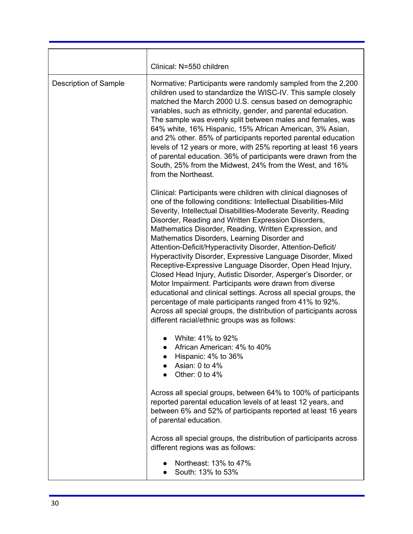|                       | Clinical: N=550 children                                                                                                                                                                                                                                                                                                                                                                                                                                                                                                                                                                                                                                                                                                                                                                                                                                                                                                                              |
|-----------------------|-------------------------------------------------------------------------------------------------------------------------------------------------------------------------------------------------------------------------------------------------------------------------------------------------------------------------------------------------------------------------------------------------------------------------------------------------------------------------------------------------------------------------------------------------------------------------------------------------------------------------------------------------------------------------------------------------------------------------------------------------------------------------------------------------------------------------------------------------------------------------------------------------------------------------------------------------------|
| Description of Sample | Normative: Participants were randomly sampled from the 2,200<br>children used to standardize the WISC-IV. This sample closely<br>matched the March 2000 U.S. census based on demographic<br>variables, such as ethnicity, gender, and parental education.<br>The sample was evenly split between males and females, was<br>64% white, 16% Hispanic, 15% African American, 3% Asian,<br>and 2% other. 85% of participants reported parental education<br>levels of 12 years or more, with 25% reporting at least 16 years<br>of parental education. 36% of participants were drawn from the<br>South, 25% from the Midwest, 24% from the West, and 16%<br>from the Northeast.                                                                                                                                                                                                                                                                          |
|                       | Clinical: Participants were children with clinical diagnoses of<br>one of the following conditions: Intellectual Disabilities-Mild<br>Severity, Intellectual Disabilities-Moderate Severity, Reading<br>Disorder, Reading and Written Expression Disorders,<br>Mathematics Disorder, Reading, Written Expression, and<br>Mathematics Disorders, Learning Disorder and<br>Attention-Deficit/Hyperactivity Disorder, Attention-Deficit/<br>Hyperactivity Disorder, Expressive Language Disorder, Mixed<br>Receptive-Expressive Language Disorder, Open Head Injury,<br>Closed Head Injury, Autistic Disorder, Asperger's Disorder, or<br>Motor Impairment. Participants were drawn from diverse<br>educational and clinical settings. Across all special groups, the<br>percentage of male participants ranged from 41% to 92%.<br>Across all special groups, the distribution of participants across<br>different racial/ethnic groups was as follows: |
|                       | White: 41% to 92%<br>African American: 4% to 40%<br>Hispanic: 4% to 36%<br>Asian: 0 to 4%<br>Other: $0$ to $4%$<br>Across all special groups, between 64% to 100% of participants                                                                                                                                                                                                                                                                                                                                                                                                                                                                                                                                                                                                                                                                                                                                                                     |
|                       | reported parental education levels of at least 12 years, and<br>between 6% and 52% of participants reported at least 16 years<br>of parental education.                                                                                                                                                                                                                                                                                                                                                                                                                                                                                                                                                                                                                                                                                                                                                                                               |
|                       | Across all special groups, the distribution of participants across<br>different regions was as follows:                                                                                                                                                                                                                                                                                                                                                                                                                                                                                                                                                                                                                                                                                                                                                                                                                                               |
|                       | Northeast: 13% to 47%<br>South: 13% to 53%                                                                                                                                                                                                                                                                                                                                                                                                                                                                                                                                                                                                                                                                                                                                                                                                                                                                                                            |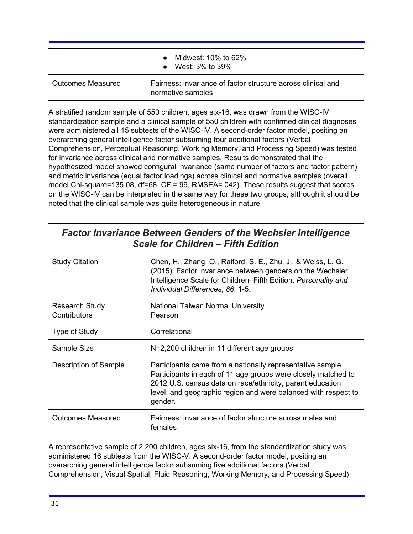|                     | Midwest: 10% to 62%<br>West: 3% to 39%                                            |
|---------------------|-----------------------------------------------------------------------------------|
| l Outcomes Measured | Fairness: invariance of factor structure across clinical and<br>normative samples |

A stratified random sample of 550 children, ages six-16, was drawn from the WISC-IV standardization sample and a clinical sample of 550 children with confirmed clinical diagnoses were administered all 15 subtests of the WISC-IV. A second-order factor model, positing an overarching general intelligence factor subsuming four additional factors (Verbal Comprehension, Perceptual Reasoning, Working Memory, and Processing Speed) was tested for invariance across clinical and normative samples. Results demonstrated that the hypothesized model showed configural invariance (same number of factors and factor pattern) and metric invariance (equal factor loadings) across clinical and normative samples (overall model Chi-square=135.08, df=68, CFI=.99, RMSEA=.042). These results suggest that scores on the WISC-IV can be interpreted in the same way for these two groups, although it should be noted that the clinical sample was quite heterogeneous in nature.

| <b>Factor Invariance Between Genders of the Wechsler Intelligence</b><br><b>Scale for Children - Fifth Edition</b> |                                                                                                                                                                                                                                                                       |
|--------------------------------------------------------------------------------------------------------------------|-----------------------------------------------------------------------------------------------------------------------------------------------------------------------------------------------------------------------------------------------------------------------|
| <b>Study Citation</b>                                                                                              | Chen, H., Zhang, O., Raiford, S. E., Zhu, J., & Weiss, L. G.<br>(2015). Factor invariance between genders on the Wechsler<br>Intelligence Scale for Children–Fifth Edition. Personality and<br>Individual Differences, 86, 1-5.                                       |
| <b>Research Study</b><br>Contributors                                                                              | National Taiwan Normal University<br>Pearson                                                                                                                                                                                                                          |
| Type of Study                                                                                                      | Correlational                                                                                                                                                                                                                                                         |
| Sample Size                                                                                                        | N=2,200 children in 11 different age groups                                                                                                                                                                                                                           |
| Description of Sample                                                                                              | Participants came from a nationally representative sample.<br>Participants in each of 11 age groups were closely matched to<br>2012 U.S. census data on race/ethnicity, parent education<br>level, and geographic region and were balanced with respect to<br>gender. |
| <b>Outcomes Measured</b>                                                                                           | Fairness: invariance of factor structure across males and<br>females                                                                                                                                                                                                  |

A representative sample of 2,200 children, ages six-16, from the standardization study was administered 16 subtests from the WISC-V. A second-order factor model, positing an overarching general intelligence factor subsuming five additional factors (Verbal Comprehension, Visual Spatial, Fluid Reasoning, Working Memory, and Processing Speed)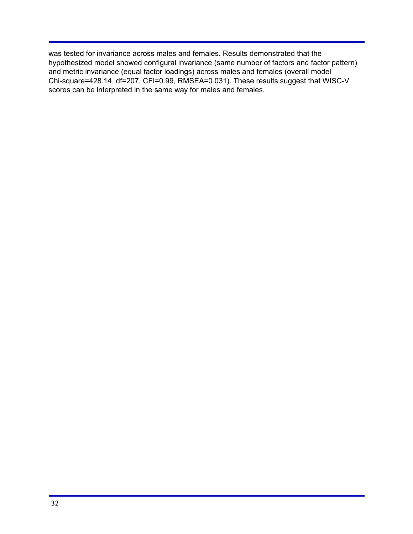was tested for invariance across males and females. Results demonstrated that the hypothesized model showed configural invariance (same number of factors and factor pattern) and metric invariance (equal factor loadings) across males and females (overall model Chi-square=428.14, df=207, CFI=0.99, RMSEA=0.031). These results suggest that WISC-V scores can be interpreted in the same way for males and females.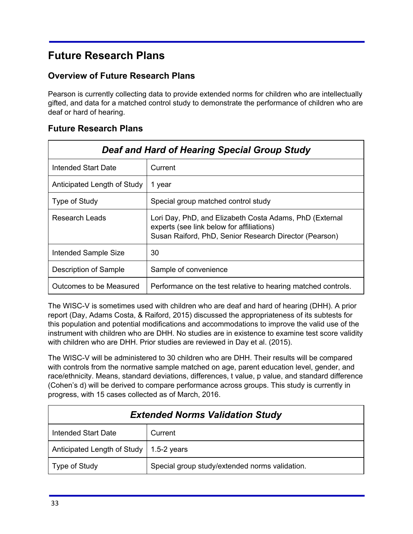# <span id="page-32-0"></span>**Future Research Plans**

### **Overview of Future Research Plans**

Pearson is currently collecting data to provide extended norms for children who are intellectually gifted, and data for a matched control study to demonstrate the performance of children who are deaf or hard of hearing.

| <b>Future Research Plans</b> |
|------------------------------|
|------------------------------|

| Deaf and Hard of Hearing Special Group Study |                                                                                                                                                                |
|----------------------------------------------|----------------------------------------------------------------------------------------------------------------------------------------------------------------|
| Intended Start Date                          | Current                                                                                                                                                        |
| Anticipated Length of Study                  | 1 year                                                                                                                                                         |
| Type of Study                                | Special group matched control study                                                                                                                            |
| Research Leads                               | Lori Day, PhD, and Elizabeth Costa Adams, PhD (External<br>experts (see link below for affiliations)<br>Susan Raiford, PhD, Senior Research Director (Pearson) |
| Intended Sample Size                         | 30                                                                                                                                                             |
| Description of Sample                        | Sample of convenience                                                                                                                                          |
| Outcomes to be Measured                      | Performance on the test relative to hearing matched controls.                                                                                                  |

The WISC-V is sometimes used with children who are deaf and hard of hearing (DHH). A prior report (Day, Adams Costa, & Raiford, 2015) discussed the appropriateness of its subtests for this population and potential modifications and accommodations to improve the valid use of the instrument with children who are DHH. No studies are in existence to examine test score validity with children who are DHH. Prior studies are reviewed in Day et al. (2015).

The WISC-V will be administered to 30 children who are DHH. Their results will be compared with controls from the normative sample matched on age, parent education level, gender, and race/ethnicity. Means, standard deviations, differences, t value, p value, and standard difference (Cohen's d) will be derived to compare performance across groups. This study is currently in progress, with 15 cases collected as of March, 2016.

| <b>Extended Norms Validation Study</b> |                                                |
|----------------------------------------|------------------------------------------------|
| <b>Intended Start Date</b>             | Current                                        |
| Anticipated Length of Study            | $1.5-2$ years                                  |
| Type of Study                          | Special group study/extended norms validation. |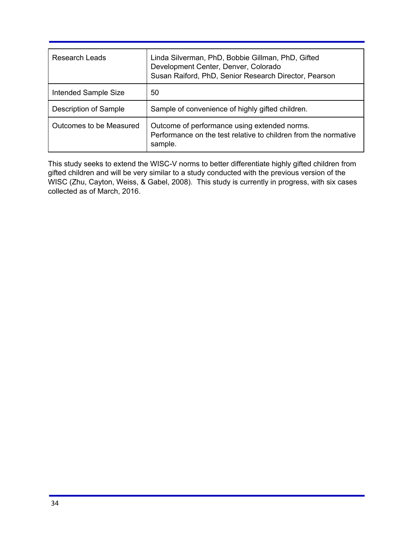| <b>Research Leads</b>   | Linda Silverman, PhD, Bobbie Gillman, PhD, Gifted<br>Development Center, Denver, Colorado<br>Susan Raiford, PhD, Senior Research Director, Pearson |
|-------------------------|----------------------------------------------------------------------------------------------------------------------------------------------------|
| Intended Sample Size    | 50                                                                                                                                                 |
| Description of Sample   | Sample of convenience of highly gifted children.                                                                                                   |
| Outcomes to be Measured | Outcome of performance using extended norms.<br>Performance on the test relative to children from the normative<br>sample.                         |

This study seeks to extend the WISC-V norms to better differentiate highly gifted children from gifted children and will be very similar to a study conducted with the previous version of the WISC (Zhu, Cayton, Weiss, & Gabel, 2008). This study is currently in progress, with six cases collected as of March, 2016.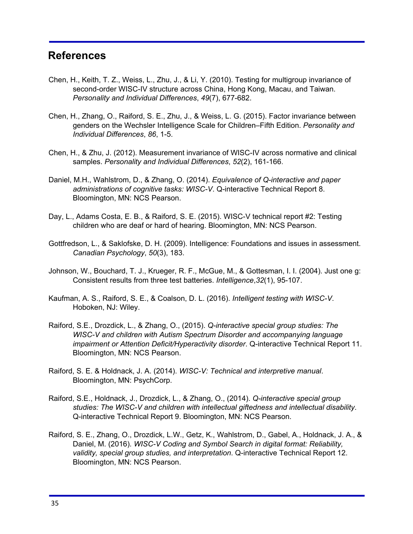## **References**

- Chen, H., Keith, T. Z., Weiss, L., Zhu, J., & Li, Y. (2010). Testing for multigroup invariance of second-order WISC-IV structure across China, Hong Kong, Macau, and Taiwan. *Personality* and *Individual Differences*, 49(7), 677-682.
- Chen, H., Zhang, O., Raiford, S. E., Zhu, J., & Weiss, L. G. (2015). Factor invariance between genders on the Wechsler Intelligence Scale for Children–Fifth Edition. *Personality and Individual Differences, 86, 1-5.*
- Chen, H., & Zhu, J. (2012). Measurement invariance of WISC-IV across normative and clinical samples. Personality and *Individual Differences*, 52(2), 161-166.
- Daniel, M.H., Wahlstrom, D., & Zhang, O. (2014). *Equivalence of Qinteractive and paper* administrations of cognitive tasks: WISC-V. Q-interactive Technical Report 8. Bloomington, MN: NCS Pearson.
- Day, L., Adams Costa, E. B., & Raiford, S. E. (2015). WISC-V technical report #2: Testing children who are deaf or hard of hearing. Bloomington, MN: NCS Pearson.
- Gottfredson, L., & Saklofske, D. H. (2009). Intelligence: Foundations and issues in assessment. *Canadian Psychology*, *50*(3), 183.
- Johnson, W., Bouchard, T. J., Krueger, R. F., McGue, M., & Gottesman, I. I. (2004). Just one g: Consistent results from three test batteries. *Intelligence*, 32(1), 95-107.
- Kaufman, A. S., Raiford, S. E., & Coalson, D. L. (2016). *Intelligent testing with WISCV*. Hoboken, NJ: Wiley.
- Raiford, S.E., Drozdick, L., & Zhang, O., (2015). *Qinteractive special group studies: The WISCV and children with Autism Spectrum Disorder and accompanying language impairment* or Attention Deficit/Hyperactivity disorder. Q-interactive Technical Report 11. Bloomington, MN: NCS Pearson.
- Raiford, S. E. & Holdnack, J. A. (2014). *WISC-V: Technical and interpretive manual.* Bloomington, MN: PsychCorp.
- Raiford, S.E., Holdnack, J., Drozdick, L., & Zhang, O., (2014). *Qinteractive special group studies: The WISCV and children with intellectual giftedness and intellectual disability*. Q-interactive Technical Report 9. Bloomington, MN: NCS Pearson.
- Raiford, S. E., Zhang, O., Drozdick, L.W., Getz, K., Wahlstrom, D., Gabel, A., Holdnack, J. A., & Daniel, M. (2016). *WISCV Coding and Symbol Search in digital format: Reliability, validity, special group studies, and interpretation*. Qinteractive Technical Report 12. Bloomington, MN: NCS Pearson.